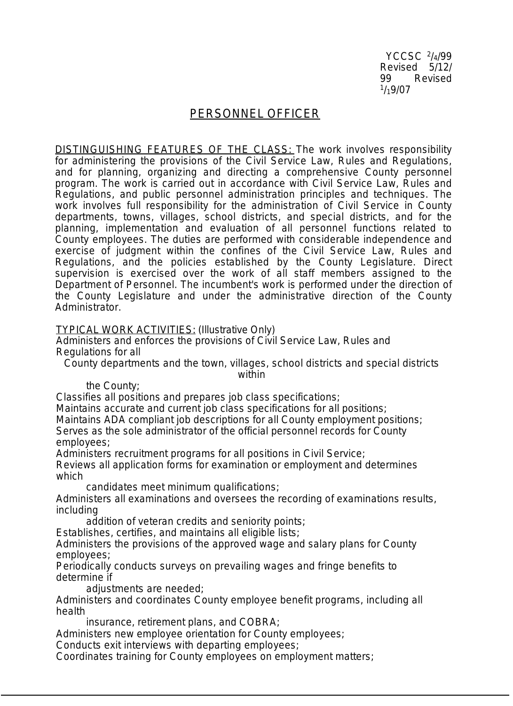YCCSC <sup>2</sup> /4/99 Revised 5/12/<br>99 Revised Revised  $1/19/07$ 

## PERSONNEL OFFICER

DISTINGUISHING FEATURES OF THE CLASS: The work involves responsibility for administering the provisions of the Civil Service Law, Rules and Requiations, and for planning, organizing and directing a comprehensive County personnel program. The work is carried out in accordance with Civil Service Law, Rules and Regulations, and public personnel administration principles and techniques. The work involves full responsibility for the administration of Civil Service in County departments, towns, villages, school districts, and special districts, and for the planning, implementation and evaluation of all personnel functions related to County employees. The duties are performed with considerable independence and exercise of judgment within the confines of the Civil Service Law, Rules and Regulations, and the policies established by the County Legislature. Direct supervision is exercised over the work of all staff members assigned to the Department of Personnel. The incumbent's work is performed under the direction of the County Legislature and under the administrative direction of the County Administrator.

TYPICAL WORK ACTIVITIES: (Illustrative Only)

Administers and enforces the provisions of Civil Service Law, Rules and Regulations for all

County departments and the town, villages, school districts and special districts within

the County;

Classifies all positions and prepares job class specifications;

Maintains accurate and current job class specifications for all positions; Maintains ADA compliant job descriptions for all County employment positions; Serves as the sole administrator of the official personnel records for County employees;

Administers recruitment programs for all positions in Civil Service;

Reviews all application forms for examination or employment and determines which

candidates meet minimum qualifications;

Administers all examinations and oversees the recording of examinations results, including

addition of veteran credits and seniority points;

Establishes, certifies, and maintains all eligible lists;

Administers the provisions of the approved wage and salary plans for County employees;

Periodically conducts surveys on prevailing wages and fringe benefits to determine if

adjustments are needed;

Administers and coordinates County employee benefit programs, including all health

insurance, retirement plans, and COBRA;

Administers new employee orientation for County employees;

Conducts exit interviews with departing employees;

Coordinates training for County employees on employment matters;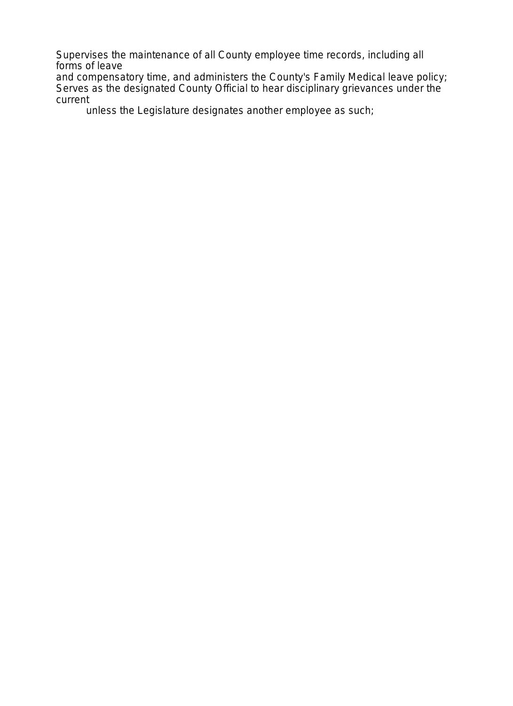Supervises the maintenance of all County employee time records, including all forms of leave

and compensatory time, and administers the County's Family Medical leave policy; Serves as the designated County Official to hear disciplinary grievances under the current

unless the Legislature designates another employee as such;